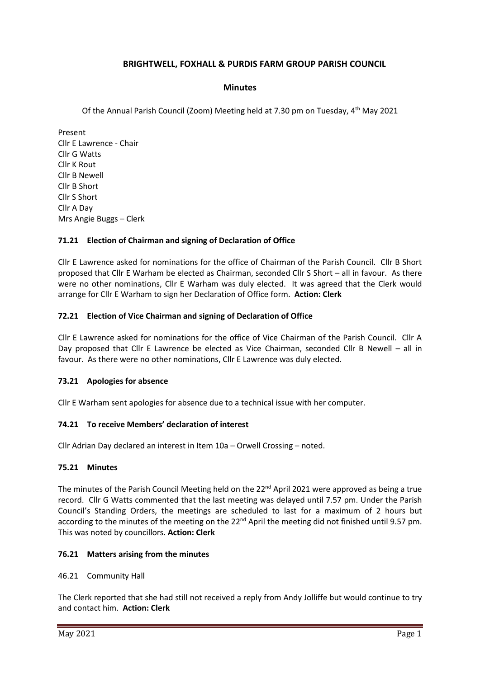# **BRIGHTWELL, FOXHALL & PURDIS FARM GROUP PARISH COUNCIL**

### **Minutes**

Of the Annual Parish Council (Zoom) Meeting held at 7.30 pm on Tuesday, 4<sup>th</sup> May 2021

Present Cllr E Lawrence - Chair Cllr G Watts Cllr K Rout Cllr B Newell Cllr B Short Cllr S Short Cllr A Day Mrs Angie Buggs – Clerk

### **71.21 Election of Chairman and signing of Declaration of Office**

Cllr E Lawrence asked for nominations for the office of Chairman of the Parish Council. Cllr B Short proposed that Cllr E Warham be elected as Chairman, seconded Cllr S Short – all in favour. As there were no other nominations, Cllr E Warham was duly elected. It was agreed that the Clerk would arrange for Cllr E Warham to sign her Declaration of Office form. **Action: Clerk**

### **72.21 Election of Vice Chairman and signing of Declaration of Office**

Cllr E Lawrence asked for nominations for the office of Vice Chairman of the Parish Council. Cllr A Day proposed that Cllr E Lawrence be elected as Vice Chairman, seconded Cllr B Newell – all in favour. As there were no other nominations, Cllr E Lawrence was duly elected.

### **73.21 Apologies for absence**

Cllr E Warham sent apologies for absence due to a technical issue with her computer.

### **74.21 To receive Members' declaration of interest**

Cllr Adrian Day declared an interest in Item 10a – Orwell Crossing – noted.

### **75.21 Minutes**

The minutes of the Parish Council Meeting held on the 22<sup>nd</sup> April 2021 were approved as being a true record. Cllr G Watts commented that the last meeting was delayed until 7.57 pm. Under the Parish Council's Standing Orders, the meetings are scheduled to last for a maximum of 2 hours but according to the minutes of the meeting on the  $22^{nd}$  April the meeting did not finished until 9.57 pm. This was noted by councillors. **Action: Clerk**

### **76.21 Matters arising from the minutes**

### 46.21 Community Hall

The Clerk reported that she had still not received a reply from Andy Jolliffe but would continue to try and contact him. **Action: Clerk**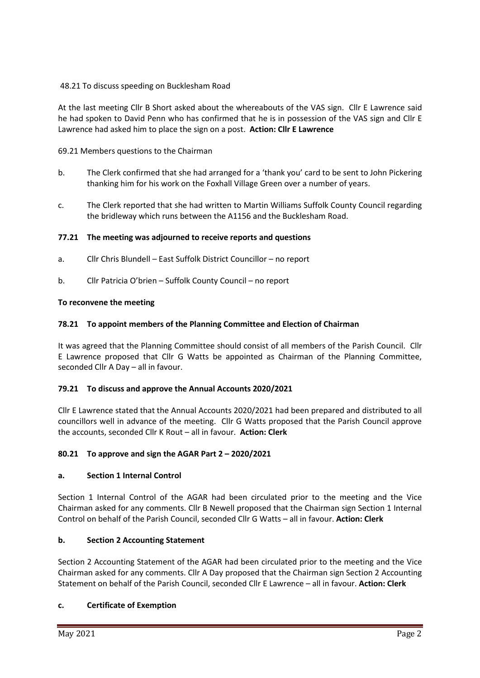## 48.21 To discuss speeding on Bucklesham Road

At the last meeting Cllr B Short asked about the whereabouts of the VAS sign. Cllr E Lawrence said he had spoken to David Penn who has confirmed that he is in possession of the VAS sign and Cllr E Lawrence had asked him to place the sign on a post. **Action: Cllr E Lawrence**

# 69.21 Members questions to the Chairman

- b. The Clerk confirmed that she had arranged for a 'thank you' card to be sent to John Pickering thanking him for his work on the Foxhall Village Green over a number of years.
- c. The Clerk reported that she had written to Martin Williams Suffolk County Council regarding the bridleway which runs between the A1156 and the Bucklesham Road.

# **77.21 The meeting was adjourned to receive reports and questions**

- a. Cllr Chris Blundell East Suffolk District Councillor no report
- b. Cllr Patricia O'brien Suffolk County Council no report

# **To reconvene the meeting**

# **78.21 To appoint members of the Planning Committee and Election of Chairman**

It was agreed that the Planning Committee should consist of all members of the Parish Council. Cllr E Lawrence proposed that Cllr G Watts be appointed as Chairman of the Planning Committee, seconded Cllr A Day – all in favour.

## **79.21 To discuss and approve the Annual Accounts 2020/2021**

Cllr E Lawrence stated that the Annual Accounts 2020/2021 had been prepared and distributed to all councillors well in advance of the meeting. Cllr G Watts proposed that the Parish Council approve the accounts, seconded Cllr K Rout – all in favour. **Action: Clerk**

## **80.21 To approve and sign the AGAR Part 2 – 2020/2021**

## **a. Section 1 Internal Control**

Section 1 Internal Control of the AGAR had been circulated prior to the meeting and the Vice Chairman asked for any comments. Cllr B Newell proposed that the Chairman sign Section 1 Internal Control on behalf of the Parish Council, seconded Cllr G Watts – all in favour. **Action: Clerk**

## **b. Section 2 Accounting Statement**

Section 2 Accounting Statement of the AGAR had been circulated prior to the meeting and the Vice Chairman asked for any comments. Cllr A Day proposed that the Chairman sign Section 2 Accounting Statement on behalf of the Parish Council, seconded Cllr E Lawrence – all in favour. **Action: Clerk**

## **c. Certificate of Exemption**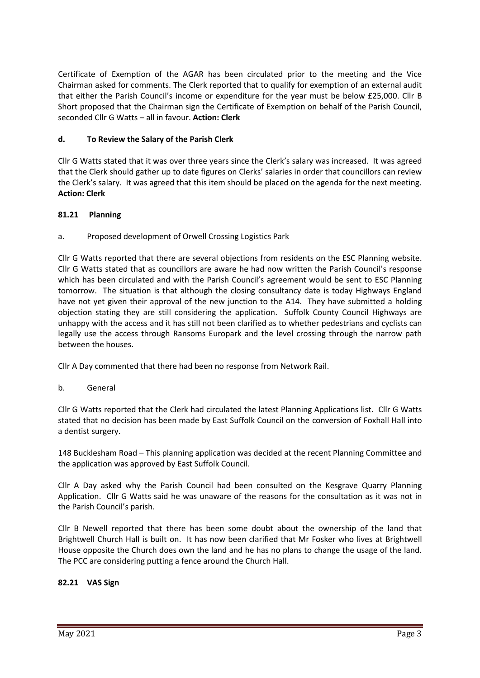Certificate of Exemption of the AGAR has been circulated prior to the meeting and the Vice Chairman asked for comments. The Clerk reported that to qualify for exemption of an external audit that either the Parish Council's income or expenditure for the year must be below £25,000. Cllr B Short proposed that the Chairman sign the Certificate of Exemption on behalf of the Parish Council, seconded Cllr G Watts – all in favour. **Action: Clerk**

# **d. To Review the Salary of the Parish Clerk**

Cllr G Watts stated that it was over three years since the Clerk's salary was increased. It was agreed that the Clerk should gather up to date figures on Clerks' salaries in order that councillors can review the Clerk's salary. It was agreed that this item should be placed on the agenda for the next meeting. **Action: Clerk**

## **81.21 Planning**

a. Proposed development of Orwell Crossing Logistics Park

Cllr G Watts reported that there are several objections from residents on the ESC Planning website. Cllr G Watts stated that as councillors are aware he had now written the Parish Council's response which has been circulated and with the Parish Council's agreement would be sent to ESC Planning tomorrow. The situation is that although the closing consultancy date is today Highways England have not yet given their approval of the new junction to the A14. They have submitted a holding objection stating they are still considering the application. Suffolk County Council Highways are unhappy with the access and it has still not been clarified as to whether pedestrians and cyclists can legally use the access through Ransoms Europark and the level crossing through the narrow path between the houses.

Cllr A Day commented that there had been no response from Network Rail.

b. General

Cllr G Watts reported that the Clerk had circulated the latest Planning Applications list. Cllr G Watts stated that no decision has been made by East Suffolk Council on the conversion of Foxhall Hall into a dentist surgery.

148 Bucklesham Road – This planning application was decided at the recent Planning Committee and the application was approved by East Suffolk Council.

Cllr A Day asked why the Parish Council had been consulted on the Kesgrave Quarry Planning Application. Cllr G Watts said he was unaware of the reasons for the consultation as it was not in the Parish Council's parish.

Cllr B Newell reported that there has been some doubt about the ownership of the land that Brightwell Church Hall is built on. It has now been clarified that Mr Fosker who lives at Brightwell House opposite the Church does own the land and he has no plans to change the usage of the land. The PCC are considering putting a fence around the Church Hall.

## **82.21 VAS Sign**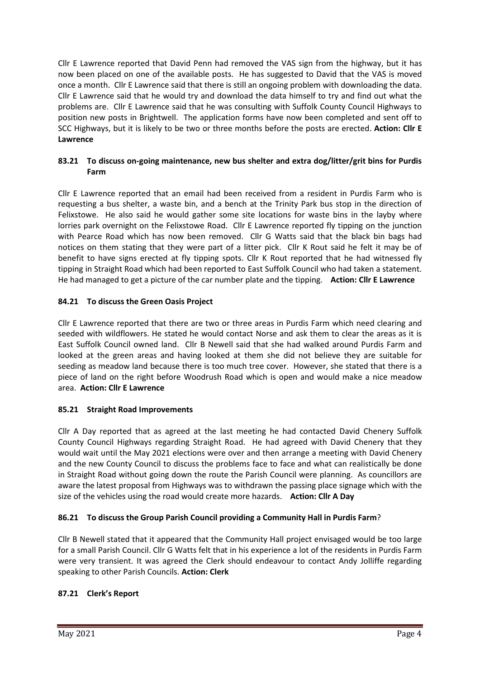Cllr E Lawrence reported that David Penn had removed the VAS sign from the highway, but it has now been placed on one of the available posts. He has suggested to David that the VAS is moved once a month. Cllr E Lawrence said that there is still an ongoing problem with downloading the data. Cllr E Lawrence said that he would try and download the data himself to try and find out what the problems are. Cllr E Lawrence said that he was consulting with Suffolk County Council Highways to position new posts in Brightwell. The application forms have now been completed and sent off to SCC Highways, but it is likely to be two or three months before the posts are erected. **Action: Cllr E Lawrence**

# **83.21 To discuss on-going maintenance, new bus shelter and extra dog/litter/grit bins for Purdis Farm**

Cllr E Lawrence reported that an email had been received from a resident in Purdis Farm who is requesting a bus shelter, a waste bin, and a bench at the Trinity Park bus stop in the direction of Felixstowe. He also said he would gather some site locations for waste bins in the layby where lorries park overnight on the Felixstowe Road. Cllr E Lawrence reported fly tipping on the junction with Pearce Road which has now been removed. Cllr G Watts said that the black bin bags had notices on them stating that they were part of a litter pick. Cllr K Rout said he felt it may be of benefit to have signs erected at fly tipping spots. Cllr K Rout reported that he had witnessed fly tipping in Straight Road which had been reported to East Suffolk Council who had taken a statement. He had managed to get a picture of the car number plate and the tipping. **Action: Cllr E Lawrence**

# **84.21 To discuss the Green Oasis Project**

Cllr E Lawrence reported that there are two or three areas in Purdis Farm which need clearing and seeded with wildflowers. He stated he would contact Norse and ask them to clear the areas as it is East Suffolk Council owned land. Cllr B Newell said that she had walked around Purdis Farm and looked at the green areas and having looked at them she did not believe they are suitable for seeding as meadow land because there is too much tree cover. However, she stated that there is a piece of land on the right before Woodrush Road which is open and would make a nice meadow area. **Action: Cllr E Lawrence**

## **85.21 Straight Road Improvements**

Cllr A Day reported that as agreed at the last meeting he had contacted David Chenery Suffolk County Council Highways regarding Straight Road. He had agreed with David Chenery that they would wait until the May 2021 elections were over and then arrange a meeting with David Chenery and the new County Council to discuss the problems face to face and what can realistically be done in Straight Road without going down the route the Parish Council were planning. As councillors are aware the latest proposal from Highways was to withdrawn the passing place signage which with the size of the vehicles using the road would create more hazards. **Action: Cllr A Day**

# **86.21 To discuss the Group Parish Council providing a Community Hall in Purdis Farm**?

Cllr B Newell stated that it appeared that the Community Hall project envisaged would be too large for a small Parish Council. Cllr G Watts felt that in his experience a lot of the residents in Purdis Farm were very transient. It was agreed the Clerk should endeavour to contact Andy Jolliffe regarding speaking to other Parish Councils. **Action: Clerk**

# **87.21 Clerk's Report**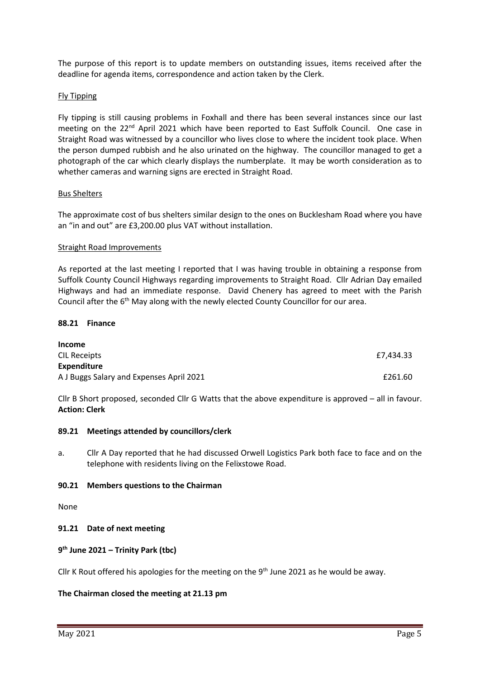The purpose of this report is to update members on outstanding issues, items received after the deadline for agenda items, correspondence and action taken by the Clerk.

### Fly Tipping

Fly tipping is still causing problems in Foxhall and there has been several instances since our last meeting on the  $22<sup>nd</sup>$  April 2021 which have been reported to East Suffolk Council. One case in Straight Road was witnessed by a councillor who lives close to where the incident took place. When the person dumped rubbish and he also urinated on the highway. The councillor managed to get a photograph of the car which clearly displays the numberplate. It may be worth consideration as to whether cameras and warning signs are erected in Straight Road.

### Bus Shelters

The approximate cost of bus shelters similar design to the ones on Bucklesham Road where you have an "in and out" are £3,200.00 plus VAT without installation.

### Straight Road Improvements

As reported at the last meeting I reported that I was having trouble in obtaining a response from Suffolk County Council Highways regarding improvements to Straight Road. Cllr Adrian Day emailed Highways and had an immediate response. David Chenery has agreed to meet with the Parish Council after the 6<sup>th</sup> May along with the newly elected County Councillor for our area.

### **88.21 Finance**

| Income                                   |           |
|------------------------------------------|-----------|
| CIL Receipts                             | £7.434.33 |
| Expenditure                              |           |
| A J Buggs Salary and Expenses April 2021 | £261.60   |

Cllr B Short proposed, seconded Cllr G Watts that the above expenditure is approved – all in favour. **Action: Clerk**

### **89.21 Meetings attended by councillors/clerk**

a. Cllr A Day reported that he had discussed Orwell Logistics Park both face to face and on the telephone with residents living on the Felixstowe Road.

### **90.21 Members questions to the Chairman**

None

### **91.21 Date of next meeting**

### **9 th June 2021 – Trinity Park (tbc)**

Cllr K Rout offered his apologies for the meeting on the  $9<sup>th</sup>$  June 2021 as he would be away.

### **The Chairman closed the meeting at 21.13 pm**